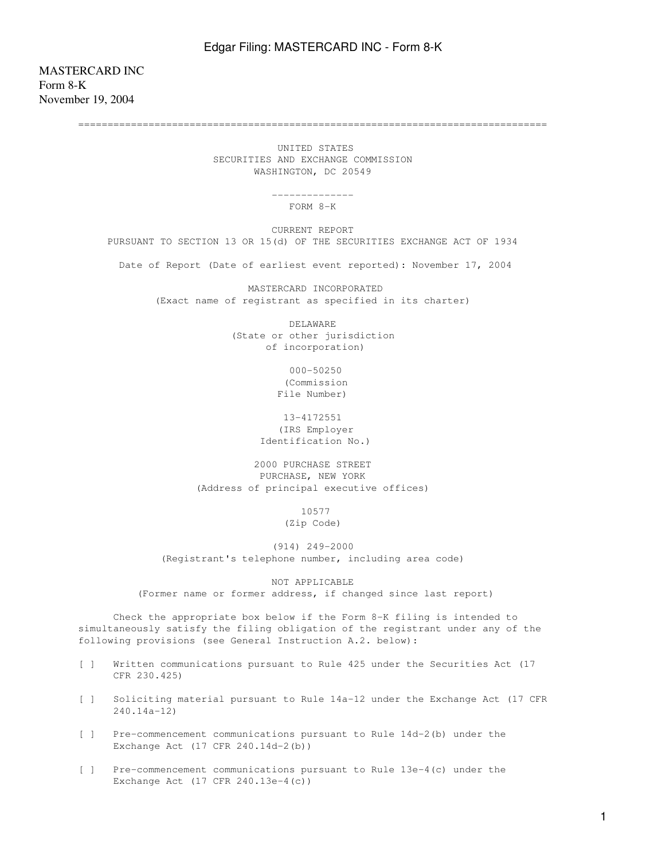MASTERCARD INC Form 8-K November 19, 2004

================================================================================

 UNITED STATES SECURITIES AND EXCHANGE COMMISSION WASHINGTON, DC 20549

> -------------- FORM 8-K

 CURRENT REPORT PURSUANT TO SECTION 13 OR 15(d) OF THE SECURITIES EXCHANGE ACT OF 1934

Date of Report (Date of earliest event reported): November 17, 2004

 MASTERCARD INCORPORATED (Exact name of registrant as specified in its charter)

> DELAWARE (State or other jurisdiction of incorporation)

> > 000-50250 (Commission File Number)

 13-4172551 (IRS Employer Identification No.)

 2000 PURCHASE STREET PURCHASE, NEW YORK (Address of principal executive offices)

 10577 (Zip Code)

 (914) 249-2000 (Registrant's telephone number, including area code)

NOT APPLICABLE

(Former name or former address, if changed since last report)

 Check the appropriate box below if the Form 8-K filing is intended to simultaneously satisfy the filing obligation of the registrant under any of the following provisions (see General Instruction A.2. below):

- [ ] Written communications pursuant to Rule 425 under the Securities Act (17 CFR 230.425)
- [ ] Soliciting material pursuant to Rule 14a-12 under the Exchange Act (17 CFR 240.14a-12)
- [ ] Pre-commencement communications pursuant to Rule 14d-2(b) under the Exchange Act (17 CFR 240.14d-2(b))
- [ ] Pre-commencement communications pursuant to Rule 13e-4(c) under the Exchange Act (17 CFR 240.13e-4(c))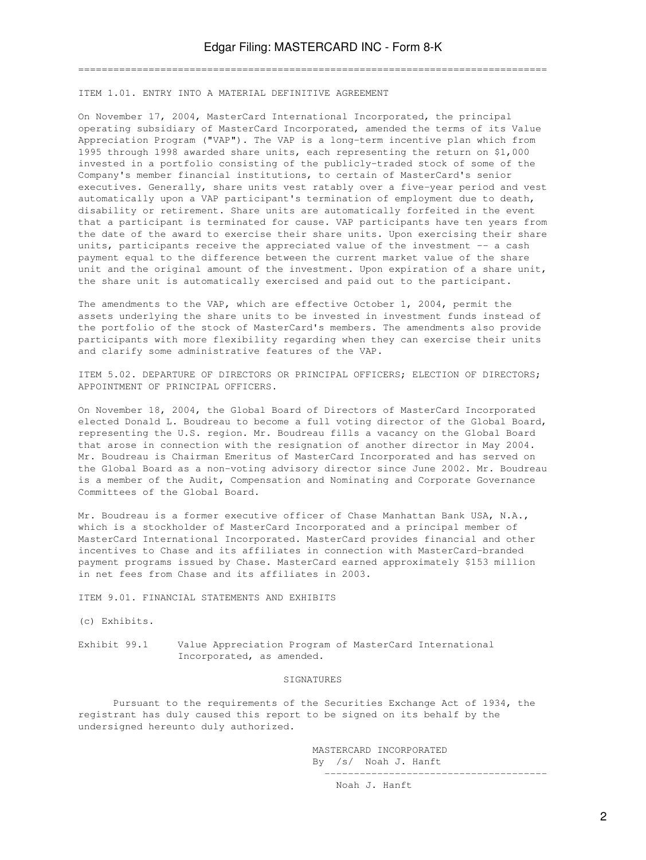================================================================================

ITEM 1.01. ENTRY INTO A MATERIAL DEFINITIVE AGREEMENT

On November 17, 2004, MasterCard International Incorporated, the principal operating subsidiary of MasterCard Incorporated, amended the terms of its Value Appreciation Program ("VAP"). The VAP is a long-term incentive plan which from 1995 through 1998 awarded share units, each representing the return on \$1,000 invested in a portfolio consisting of the publicly-traded stock of some of the Company's member financial institutions, to certain of MasterCard's senior executives. Generally, share units vest ratably over a five-year period and vest automatically upon a VAP participant's termination of employment due to death, disability or retirement. Share units are automatically forfeited in the event that a participant is terminated for cause. VAP participants have ten years from the date of the award to exercise their share units. Upon exercising their share units, participants receive the appreciated value of the investment -- a cash payment equal to the difference between the current market value of the share unit and the original amount of the investment. Upon expiration of a share unit, the share unit is automatically exercised and paid out to the participant.

The amendments to the VAP, which are effective October 1, 2004, permit the assets underlying the share units to be invested in investment funds instead of the portfolio of the stock of MasterCard's members. The amendments also provide participants with more flexibility regarding when they can exercise their units and clarify some administrative features of the VAP.

ITEM 5.02. DEPARTURE OF DIRECTORS OR PRINCIPAL OFFICERS; ELECTION OF DIRECTORS; APPOINTMENT OF PRINCIPAL OFFICERS.

On November 18, 2004, the Global Board of Directors of MasterCard Incorporated elected Donald L. Boudreau to become a full voting director of the Global Board, representing the U.S. region. Mr. Boudreau fills a vacancy on the Global Board that arose in connection with the resignation of another director in May 2004. Mr. Boudreau is Chairman Emeritus of MasterCard Incorporated and has served on the Global Board as a non-voting advisory director since June 2002. Mr. Boudreau is a member of the Audit, Compensation and Nominating and Corporate Governance Committees of the Global Board.

Mr. Boudreau is a former executive officer of Chase Manhattan Bank USA, N.A., which is a stockholder of MasterCard Incorporated and a principal member of MasterCard International Incorporated. MasterCard provides financial and other incentives to Chase and its affiliates in connection with MasterCard-branded payment programs issued by Chase. MasterCard earned approximately \$153 million in net fees from Chase and its affiliates in 2003.

ITEM 9.01. FINANCIAL STATEMENTS AND EXHIBITS

(c) Exhibits.

Exhibit 99.1 Value Appreciation Program of MasterCard International Incorporated, as amended.

## SIGNATURES

 Pursuant to the requirements of the Securities Exchange Act of 1934, the registrant has duly caused this report to be signed on its behalf by the undersigned hereunto duly authorized.

> MASTERCARD INCORPORATED By /s/ Noah J. Hanft --------------------------------------

> > Noah J. Hanft